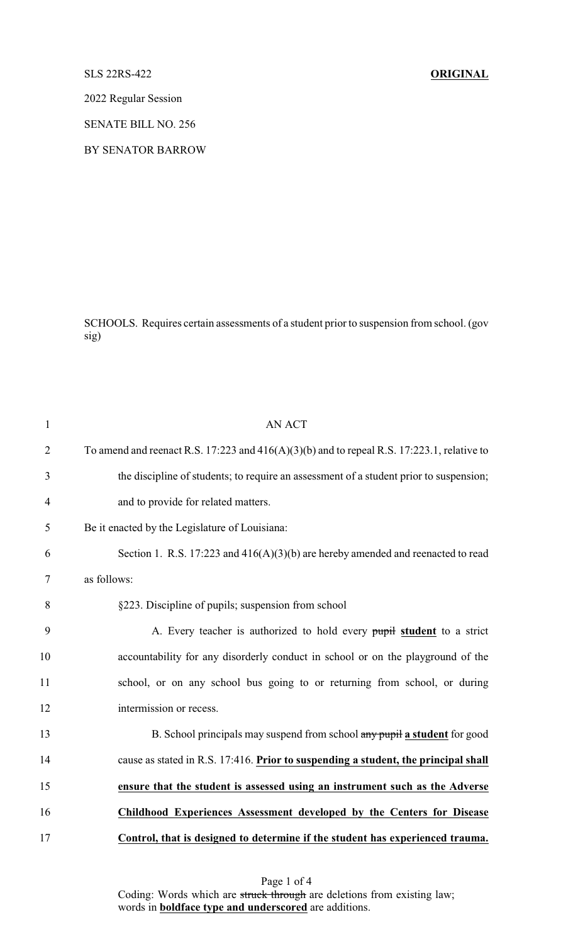## SLS 22RS-422 **ORIGINAL**

2022 Regular Session

SENATE BILL NO. 256

BY SENATOR BARROW

SCHOOLS. Requires certain assessments of a student prior to suspension from school. (gov sig)

| $\mathbf{1}$   | <b>AN ACT</b>                                                                                |
|----------------|----------------------------------------------------------------------------------------------|
| $\overline{2}$ | To amend and reenact R.S. 17:223 and $416(A)(3)(b)$ and to repeal R.S. 17:223.1, relative to |
| 3              | the discipline of students; to require an assessment of a student prior to suspension;       |
| $\overline{4}$ | and to provide for related matters.                                                          |
| 5              | Be it enacted by the Legislature of Louisiana:                                               |
| 6              | Section 1. R.S. 17:223 and $416(A)(3)(b)$ are hereby amended and reenacted to read           |
| 7              | as follows:                                                                                  |
| 8              | §223. Discipline of pupils; suspension from school                                           |
| 9              | A. Every teacher is authorized to hold every pupil student to a strict                       |
| 10             | accountability for any disorderly conduct in school or on the playground of the              |
| 11             | school, or on any school bus going to or returning from school, or during                    |
| 12             | intermission or recess.                                                                      |
| 13             | B. School principals may suspend from school any pupil a student for good                    |
| 14             | cause as stated in R.S. 17:416. Prior to suspending a student, the principal shall           |
| 15             | ensure that the student is assessed using an instrument such as the Adverse                  |
| 16             | <b>Childhood Experiences Assessment developed by the Centers for Disease</b>                 |
| 17             | Control, that is designed to determine if the student has experienced trauma.                |

Page 1 of 4 Coding: Words which are struck through are deletions from existing law; words in **boldface type and underscored** are additions.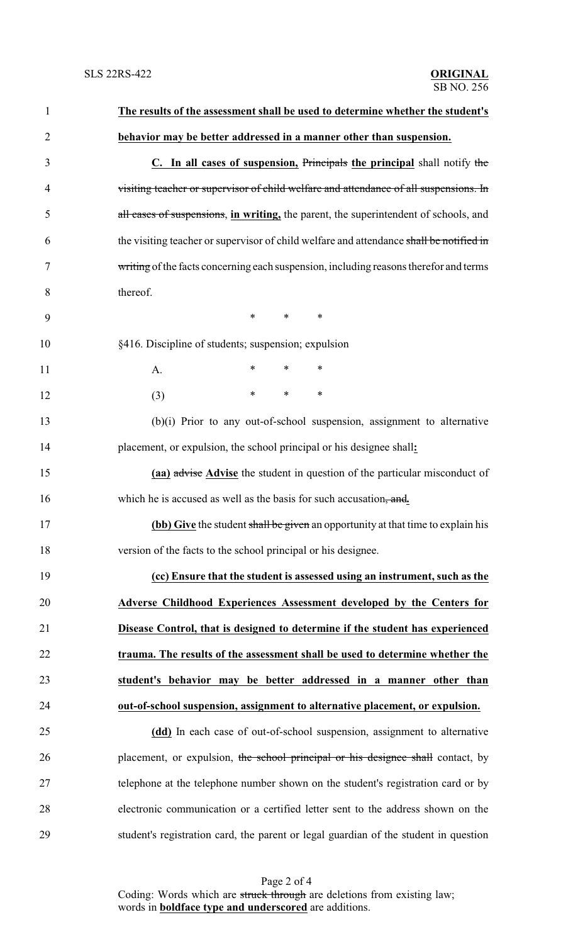| $\mathbf{1}$   | The results of the assessment shall be used to determine whether the student's          |  |  |
|----------------|-----------------------------------------------------------------------------------------|--|--|
| $\overline{c}$ | behavior may be better addressed in a manner other than suspension.                     |  |  |
| 3              | C. In all cases of suspension, Principals the principal shall notify the                |  |  |
| 4              | visiting teacher or supervisor of child welfare and attendance of all suspensions. In   |  |  |
| 5              | all cases of suspensions, in writing, the parent, the superintendent of schools, and    |  |  |
| 6              | the visiting teacher or supervisor of child welfare and attendance shall be notified in |  |  |
| 7              | writing of the facts concerning each suspension, including reasons therefor and terms   |  |  |
| 8              | thereof.                                                                                |  |  |
| 9              | $\ast$<br>$\ast$<br>$\ast$                                                              |  |  |
| 10             | §416. Discipline of students; suspension; expulsion                                     |  |  |
| 11             | $\ast$<br>$\ast$<br>$\ast$<br>A.                                                        |  |  |
| 12             | $\ast$<br>$\ast$<br>$\ast$<br>(3)                                                       |  |  |
| 13             | (b)(i) Prior to any out-of-school suspension, assignment to alternative                 |  |  |
| 14             | placement, or expulsion, the school principal or his designee shall:                    |  |  |
| 15             | (aa) advise Advise the student in question of the particular misconduct of              |  |  |
| 16             | which he is accused as well as the basis for such accusation, and.                      |  |  |
| 17             | <b>(bb)</b> Give the student shall be given an opportunity at that time to explain his  |  |  |
| 18             | version of the facts to the school principal or his designee.                           |  |  |
| 19             | (cc) Ensure that the student is assessed using an instrument, such as the               |  |  |
| 20             | Adverse Childhood Experiences Assessment developed by the Centers for                   |  |  |
| 21             | Disease Control, that is designed to determine if the student has experienced           |  |  |
| 22             | trauma. The results of the assessment shall be used to determine whether the            |  |  |
| 23             | student's behavior may be better addressed in a manner other than                       |  |  |
| 24             | out-of-school suspension, assignment to alternative placement, or expulsion.            |  |  |
| 25             | (dd) In each case of out-of-school suspension, assignment to alternative                |  |  |
| 26             | placement, or expulsion, the school principal or his designee shall contact, by         |  |  |
| 27             | telephone at the telephone number shown on the student's registration card or by        |  |  |
| 28             | electronic communication or a certified letter sent to the address shown on the         |  |  |
| 29             | student's registration card, the parent or legal guardian of the student in question    |  |  |

Page 2 of 4 Coding: Words which are struck through are deletions from existing law; words in **boldface type and underscored** are additions.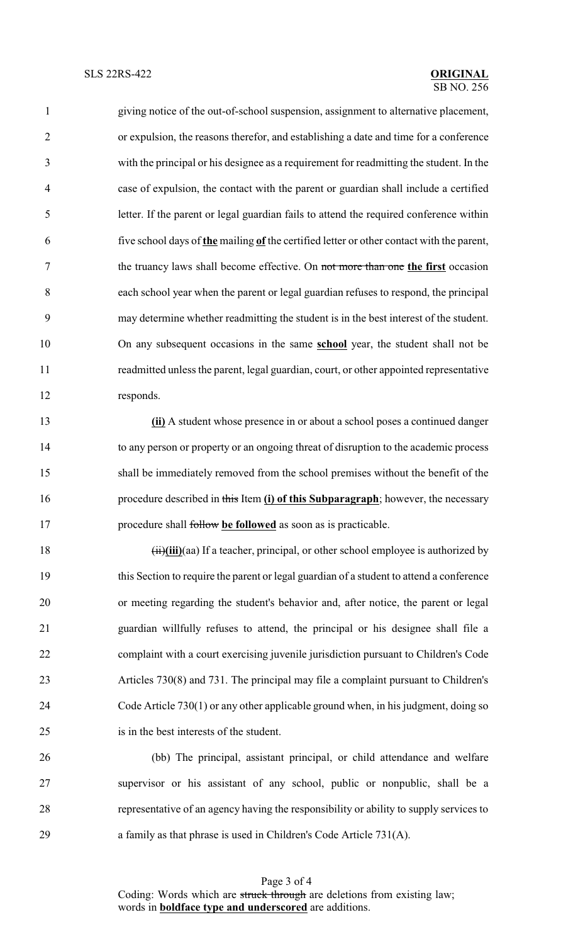giving notice of the out-of-school suspension, assignment to alternative placement, or expulsion, the reasons therefor, and establishing a date and time for a conference with the principal or his designee as a requirement for readmitting the student. In the case of expulsion, the contact with the parent or guardian shall include a certified letter. If the parent or legal guardian fails to attend the required conference within five school days of **the** mailing **of** the certified letter or other contact with the parent, the truancy laws shall become effective. On not more than one **the first** occasion each school year when the parent or legal guardian refuses to respond, the principal may determine whether readmitting the student is in the best interest of the student. On any subsequent occasions in the same **school** year, the student shall not be readmitted unless the parent, legal guardian, court, or other appointed representative responds.

 **(ii)** A student whose presence in or about a school poses a continued danger to any person or property or an ongoing threat of disruption to the academic process shall be immediately removed from the school premises without the benefit of the procedure described in this Item **(i) of this Subparagraph**; however, the necessary procedure shall follow **be followed** as soon as is practicable.

 (ii)**(iii)**(aa) If a teacher, principal, or other school employee is authorized by this Section to require the parent or legal guardian of a student to attend a conference or meeting regarding the student's behavior and, after notice, the parent or legal guardian willfully refuses to attend, the principal or his designee shall file a complaint with a court exercising juvenile jurisdiction pursuant to Children's Code Articles 730(8) and 731. The principal may file a complaint pursuant to Children's Code Article 730(1) or any other applicable ground when, in his judgment, doing so is in the best interests of the student.

 (bb) The principal, assistant principal, or child attendance and welfare supervisor or his assistant of any school, public or nonpublic, shall be a representative of an agency having the responsibility or ability to supply services to a family as that phrase is used in Children's Code Article 731(A).

> Page 3 of 4 Coding: Words which are struck through are deletions from existing law; words in **boldface type and underscored** are additions.